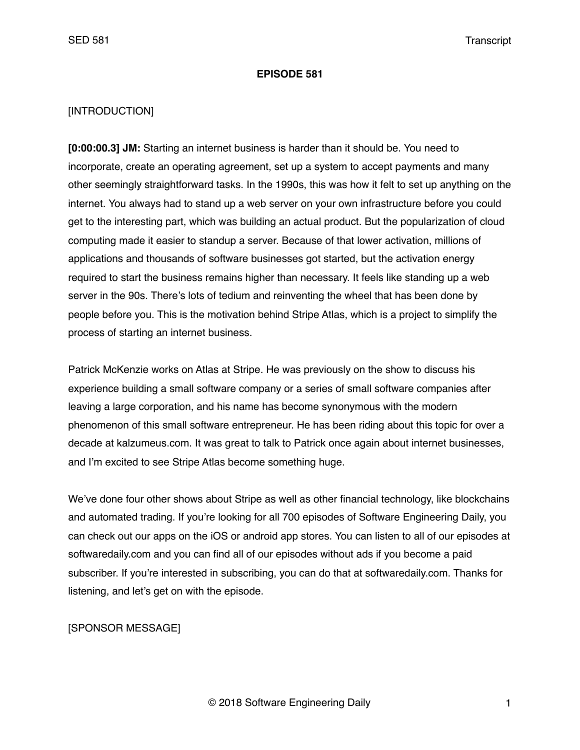### **EPISODE 581**

## [INTRODUCTION]

**[0:00:00.3] JM:** Starting an internet business is harder than it should be. You need to incorporate, create an operating agreement, set up a system to accept payments and many other seemingly straightforward tasks. In the 1990s, this was how it felt to set up anything on the internet. You always had to stand up a web server on your own infrastructure before you could get to the interesting part, which was building an actual product. But the popularization of cloud computing made it easier to standup a server. Because of that lower activation, millions of applications and thousands of software businesses got started, but the activation energy required to start the business remains higher than necessary. It feels like standing up a web server in the 90s. There's lots of tedium and reinventing the wheel that has been done by people before you. This is the motivation behind Stripe Atlas, which is a project to simplify the process of starting an internet business.

Patrick McKenzie works on Atlas at Stripe. He was previously on the show to discuss his experience building a small software company or a series of small software companies after leaving a large corporation, and his name has become synonymous with the modern phenomenon of this small software entrepreneur. He has been riding about this topic for over a decade at kalzumeus.com. It was great to talk to Patrick once again about internet businesses, and I'm excited to see Stripe Atlas become something huge.

We've done four other shows about Stripe as well as other financial technology, like blockchains and automated trading. If you're looking for all 700 episodes of Software Engineering Daily, you can check out our apps on the iOS or android app stores. You can listen to all of our episodes at softwaredaily.com and you can find all of our episodes without ads if you become a paid subscriber. If you're interested in subscribing, you can do that at softwaredaily.com. Thanks for listening, and let's get on with the episode.

## [SPONSOR MESSAGE]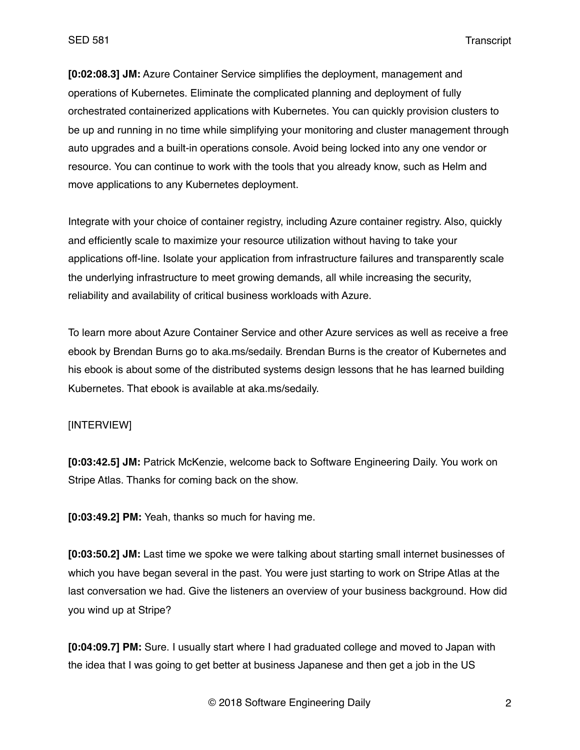**[0:02:08.3] JM:** Azure Container Service simplifies the deployment, management and operations of Kubernetes. Eliminate the complicated planning and deployment of fully orchestrated containerized applications with Kubernetes. You can quickly provision clusters to be up and running in no time while simplifying your monitoring and cluster management through auto upgrades and a built-in operations console. Avoid being locked into any one vendor or resource. You can continue to work with the tools that you already know, such as Helm and move applications to any Kubernetes deployment.

Integrate with your choice of container registry, including Azure container registry. Also, quickly and efficiently scale to maximize your resource utilization without having to take your applications off-line. Isolate your application from infrastructure failures and transparently scale the underlying infrastructure to meet growing demands, all while increasing the security, reliability and availability of critical business workloads with Azure.

To learn more about Azure Container Service and other Azure services as well as receive a free ebook by Brendan Burns go to aka.ms/sedaily. Brendan Burns is the creator of Kubernetes and his ebook is about some of the distributed systems design lessons that he has learned building Kubernetes. That ebook is available at aka.ms/sedaily.

## [INTERVIEW]

**[0:03:42.5] JM:** Patrick McKenzie, welcome back to Software Engineering Daily. You work on Stripe Atlas. Thanks for coming back on the show.

**[0:03:49.2] PM:** Yeah, thanks so much for having me.

**[0:03:50.2] JM:** Last time we spoke we were talking about starting small internet businesses of which you have began several in the past. You were just starting to work on Stripe Atlas at the last conversation we had. Give the listeners an overview of your business background. How did you wind up at Stripe?

**[0:04:09.7] PM:** Sure. I usually start where I had graduated college and moved to Japan with the idea that I was going to get better at business Japanese and then get a job in the US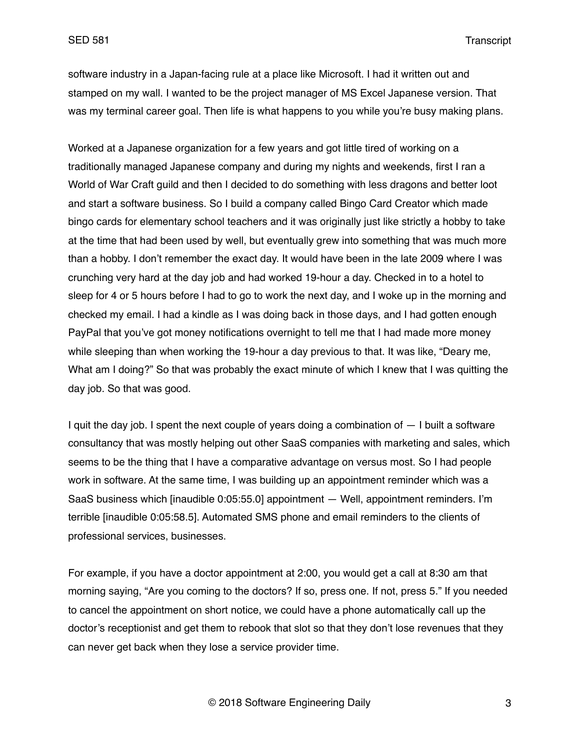software industry in a Japan-facing rule at a place like Microsoft. I had it written out and stamped on my wall. I wanted to be the project manager of MS Excel Japanese version. That was my terminal career goal. Then life is what happens to you while you're busy making plans.

Worked at a Japanese organization for a few years and got little tired of working on a traditionally managed Japanese company and during my nights and weekends, first I ran a World of War Craft guild and then I decided to do something with less dragons and better loot and start a software business. So I build a company called Bingo Card Creator which made bingo cards for elementary school teachers and it was originally just like strictly a hobby to take at the time that had been used by well, but eventually grew into something that was much more than a hobby. I don't remember the exact day. It would have been in the late 2009 where I was crunching very hard at the day job and had worked 19-hour a day. Checked in to a hotel to sleep for 4 or 5 hours before I had to go to work the next day, and I woke up in the morning and checked my email. I had a kindle as I was doing back in those days, and I had gotten enough PayPal that you've got money notifications overnight to tell me that I had made more money while sleeping than when working the 19-hour a day previous to that. It was like, "Deary me, What am I doing?" So that was probably the exact minute of which I knew that I was quitting the day job. So that was good.

I quit the day job. I spent the next couple of years doing a combination of — I built a software consultancy that was mostly helping out other SaaS companies with marketing and sales, which seems to be the thing that I have a comparative advantage on versus most. So I had people work in software. At the same time, I was building up an appointment reminder which was a SaaS business which [inaudible 0:05:55.0] appointment — Well, appointment reminders. I'm terrible [inaudible 0:05:58.5]. Automated SMS phone and email reminders to the clients of professional services, businesses.

For example, if you have a doctor appointment at 2:00, you would get a call at 8:30 am that morning saying, "Are you coming to the doctors? If so, press one. If not, press 5." If you needed to cancel the appointment on short notice, we could have a phone automatically call up the doctor's receptionist and get them to rebook that slot so that they don't lose revenues that they can never get back when they lose a service provider time.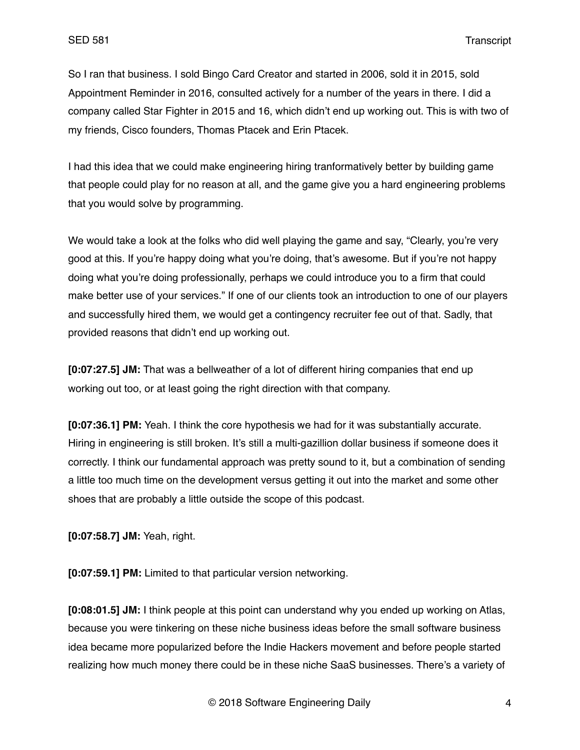So I ran that business. I sold Bingo Card Creator and started in 2006, sold it in 2015, sold Appointment Reminder in 2016, consulted actively for a number of the years in there. I did a company called Star Fighter in 2015 and 16, which didn't end up working out. This is with two of my friends, Cisco founders, Thomas Ptacek and Erin Ptacek.

I had this idea that we could make engineering hiring tranformatively better by building game that people could play for no reason at all, and the game give you a hard engineering problems that you would solve by programming.

We would take a look at the folks who did well playing the game and say, "Clearly, you're very good at this. If you're happy doing what you're doing, that's awesome. But if you're not happy doing what you're doing professionally, perhaps we could introduce you to a firm that could make better use of your services." If one of our clients took an introduction to one of our players and successfully hired them, we would get a contingency recruiter fee out of that. Sadly, that provided reasons that didn't end up working out.

**[0:07:27.5] JM:** That was a bellweather of a lot of different hiring companies that end up working out too, or at least going the right direction with that company.

**[0:07:36.1] PM:** Yeah. I think the core hypothesis we had for it was substantially accurate. Hiring in engineering is still broken. It's still a multi-gazillion dollar business if someone does it correctly. I think our fundamental approach was pretty sound to it, but a combination of sending a little too much time on the development versus getting it out into the market and some other shoes that are probably a little outside the scope of this podcast.

**[0:07:58.7] JM:** Yeah, right.

**[0:07:59.1] PM:** Limited to that particular version networking.

**[0:08:01.5] JM:** I think people at this point can understand why you ended up working on Atlas, because you were tinkering on these niche business ideas before the small software business idea became more popularized before the Indie Hackers movement and before people started realizing how much money there could be in these niche SaaS businesses. There's a variety of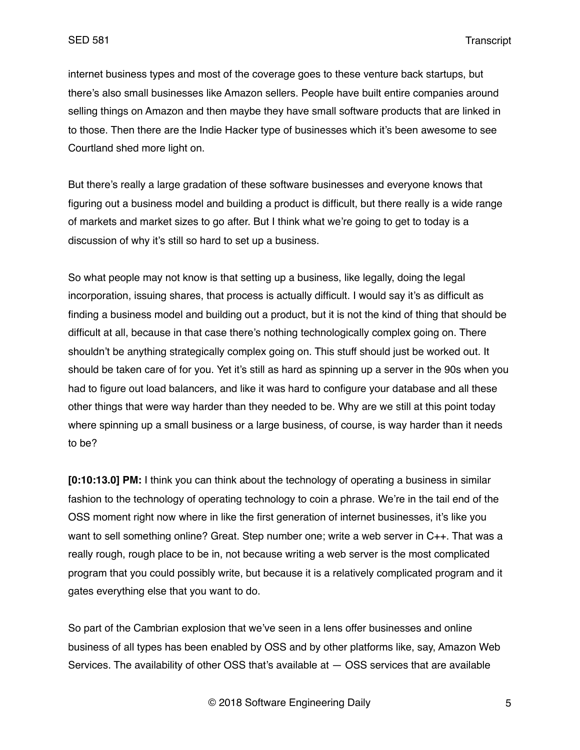internet business types and most of the coverage goes to these venture back startups, but there's also small businesses like Amazon sellers. People have built entire companies around selling things on Amazon and then maybe they have small software products that are linked in to those. Then there are the Indie Hacker type of businesses which it's been awesome to see Courtland shed more light on.

But there's really a large gradation of these software businesses and everyone knows that figuring out a business model and building a product is difficult, but there really is a wide range of markets and market sizes to go after. But I think what we're going to get to today is a discussion of why it's still so hard to set up a business.

So what people may not know is that setting up a business, like legally, doing the legal incorporation, issuing shares, that process is actually difficult. I would say it's as difficult as finding a business model and building out a product, but it is not the kind of thing that should be difficult at all, because in that case there's nothing technologically complex going on. There shouldn't be anything strategically complex going on. This stuff should just be worked out. It should be taken care of for you. Yet it's still as hard as spinning up a server in the 90s when you had to figure out load balancers, and like it was hard to configure your database and all these other things that were way harder than they needed to be. Why are we still at this point today where spinning up a small business or a large business, of course, is way harder than it needs to be?

**[0:10:13.0] PM:** I think you can think about the technology of operating a business in similar fashion to the technology of operating technology to coin a phrase. We're in the tail end of the OSS moment right now where in like the first generation of internet businesses, it's like you want to sell something online? Great. Step number one; write a web server in C++. That was a really rough, rough place to be in, not because writing a web server is the most complicated program that you could possibly write, but because it is a relatively complicated program and it gates everything else that you want to do.

So part of the Cambrian explosion that we've seen in a lens offer businesses and online business of all types has been enabled by OSS and by other platforms like, say, Amazon Web Services. The availability of other OSS that's available at — OSS services that are available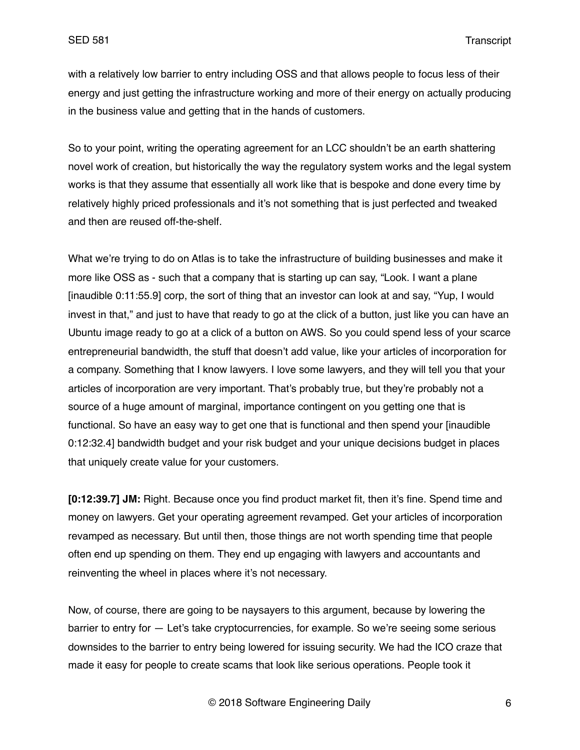with a relatively low barrier to entry including OSS and that allows people to focus less of their energy and just getting the infrastructure working and more of their energy on actually producing in the business value and getting that in the hands of customers.

So to your point, writing the operating agreement for an LCC shouldn't be an earth shattering novel work of creation, but historically the way the regulatory system works and the legal system works is that they assume that essentially all work like that is bespoke and done every time by relatively highly priced professionals and it's not something that is just perfected and tweaked and then are reused off-the-shelf.

What we're trying to do on Atlas is to take the infrastructure of building businesses and make it more like OSS as - such that a company that is starting up can say, "Look. I want a plane [inaudible 0:11:55.9] corp, the sort of thing that an investor can look at and say, "Yup, I would invest in that," and just to have that ready to go at the click of a button, just like you can have an Ubuntu image ready to go at a click of a button on AWS. So you could spend less of your scarce entrepreneurial bandwidth, the stuff that doesn't add value, like your articles of incorporation for a company. Something that I know lawyers. I love some lawyers, and they will tell you that your articles of incorporation are very important. That's probably true, but they're probably not a source of a huge amount of marginal, importance contingent on you getting one that is functional. So have an easy way to get one that is functional and then spend your [inaudible 0:12:32.4] bandwidth budget and your risk budget and your unique decisions budget in places that uniquely create value for your customers.

**[0:12:39.7] JM:** Right. Because once you find product market fit, then it's fine. Spend time and money on lawyers. Get your operating agreement revamped. Get your articles of incorporation revamped as necessary. But until then, those things are not worth spending time that people often end up spending on them. They end up engaging with lawyers and accountants and reinventing the wheel in places where it's not necessary.

Now, of course, there are going to be naysayers to this argument, because by lowering the barrier to entry for — Let's take cryptocurrencies, for example. So we're seeing some serious downsides to the barrier to entry being lowered for issuing security. We had the ICO craze that made it easy for people to create scams that look like serious operations. People took it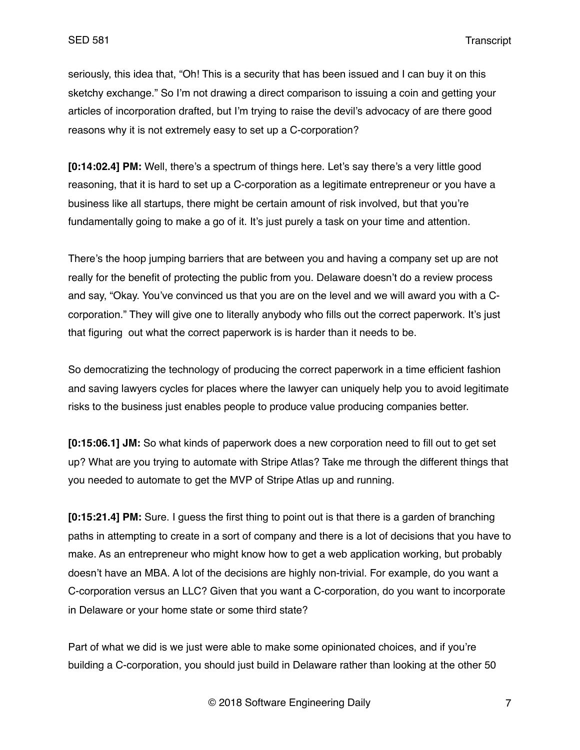seriously, this idea that, "Oh! This is a security that has been issued and I can buy it on this sketchy exchange." So I'm not drawing a direct comparison to issuing a coin and getting your articles of incorporation drafted, but I'm trying to raise the devil's advocacy of are there good reasons why it is not extremely easy to set up a C-corporation?

**[0:14:02.4] PM:** Well, there's a spectrum of things here. Let's say there's a very little good reasoning, that it is hard to set up a C-corporation as a legitimate entrepreneur or you have a business like all startups, there might be certain amount of risk involved, but that you're fundamentally going to make a go of it. It's just purely a task on your time and attention.

There's the hoop jumping barriers that are between you and having a company set up are not really for the benefit of protecting the public from you. Delaware doesn't do a review process and say, "Okay. You've convinced us that you are on the level and we will award you with a Ccorporation." They will give one to literally anybody who fills out the correct paperwork. It's just that figuring out what the correct paperwork is is harder than it needs to be.

So democratizing the technology of producing the correct paperwork in a time efficient fashion and saving lawyers cycles for places where the lawyer can uniquely help you to avoid legitimate risks to the business just enables people to produce value producing companies better.

**[0:15:06.1] JM:** So what kinds of paperwork does a new corporation need to fill out to get set up? What are you trying to automate with Stripe Atlas? Take me through the different things that you needed to automate to get the MVP of Stripe Atlas up and running.

**[0:15:21.4] PM:** Sure. I guess the first thing to point out is that there is a garden of branching paths in attempting to create in a sort of company and there is a lot of decisions that you have to make. As an entrepreneur who might know how to get a web application working, but probably doesn't have an MBA. A lot of the decisions are highly non-trivial. For example, do you want a C-corporation versus an LLC? Given that you want a C-corporation, do you want to incorporate in Delaware or your home state or some third state?

Part of what we did is we just were able to make some opinionated choices, and if you're building a C-corporation, you should just build in Delaware rather than looking at the other 50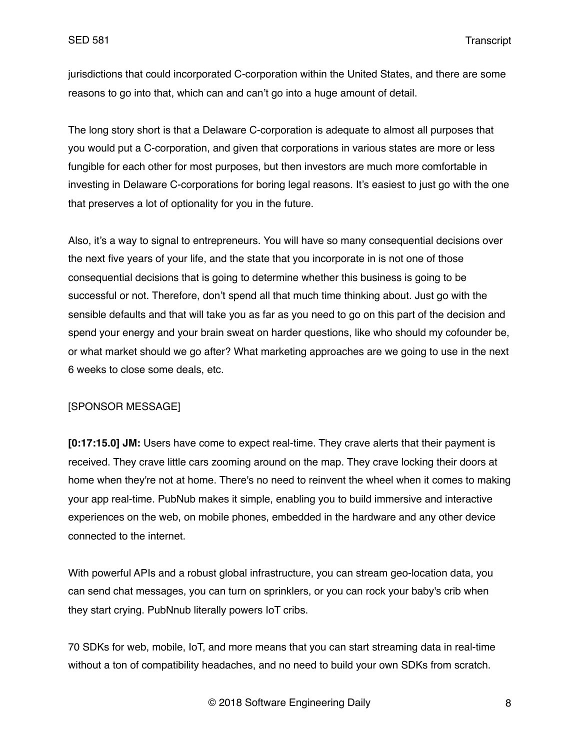jurisdictions that could incorporated C-corporation within the United States, and there are some reasons to go into that, which can and can't go into a huge amount of detail.

The long story short is that a Delaware C-corporation is adequate to almost all purposes that you would put a C-corporation, and given that corporations in various states are more or less fungible for each other for most purposes, but then investors are much more comfortable in investing in Delaware C-corporations for boring legal reasons. It's easiest to just go with the one that preserves a lot of optionality for you in the future.

Also, it's a way to signal to entrepreneurs. You will have so many consequential decisions over the next five years of your life, and the state that you incorporate in is not one of those consequential decisions that is going to determine whether this business is going to be successful or not. Therefore, don't spend all that much time thinking about. Just go with the sensible defaults and that will take you as far as you need to go on this part of the decision and spend your energy and your brain sweat on harder questions, like who should my cofounder be, or what market should we go after? What marketing approaches are we going to use in the next 6 weeks to close some deals, etc.

## [SPONSOR MESSAGE]

**[0:17:15.0] JM:** Users have come to expect real-time. They crave alerts that their payment is received. They crave little cars zooming around on the map. They crave locking their doors at home when they're not at home. There's no need to reinvent the wheel when it comes to making your app real-time. PubNub makes it simple, enabling you to build immersive and interactive experiences on the web, on mobile phones, embedded in the hardware and any other device connected to the internet.

With powerful APIs and a robust global infrastructure, you can stream geo-location data, you can send chat messages, you can turn on sprinklers, or you can rock your baby's crib when they start crying. PubNnub literally powers IoT cribs.

70 SDKs for web, mobile, IoT, and more means that you can start streaming data in real-time without a ton of compatibility headaches, and no need to build your own SDKs from scratch.

© 2018 Software Engineering Daily 8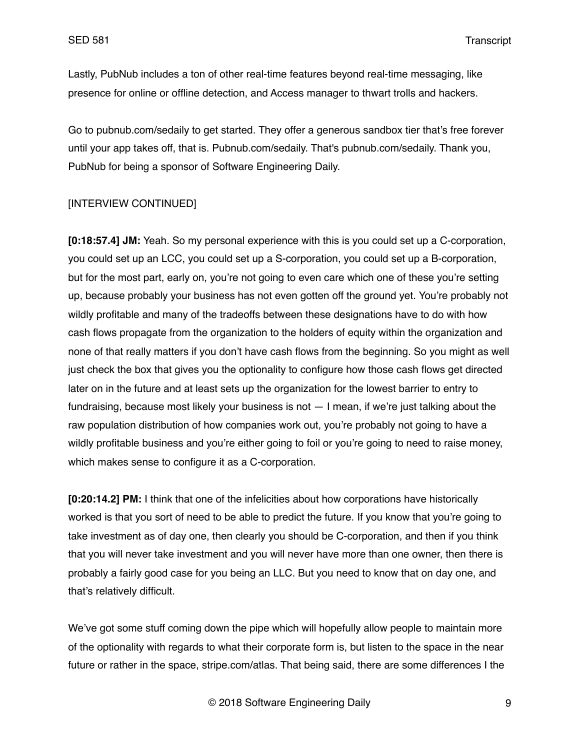Lastly, PubNub includes a ton of other real-time features beyond real-time messaging, like presence for online or offline detection, and Access manager to thwart trolls and hackers.

Go to pubnub.com/sedaily to get started. They offer a generous sandbox tier that's free forever until your app takes off, that is. Pubnub.com/sedaily. That's pubnub.com/sedaily. Thank you, PubNub for being a sponsor of Software Engineering Daily.

## [INTERVIEW CONTINUED]

**[0:18:57.4] JM:** Yeah. So my personal experience with this is you could set up a C-corporation, you could set up an LCC, you could set up a S-corporation, you could set up a B-corporation, but for the most part, early on, you're not going to even care which one of these you're setting up, because probably your business has not even gotten off the ground yet. You're probably not wildly profitable and many of the tradeoffs between these designations have to do with how cash flows propagate from the organization to the holders of equity within the organization and none of that really matters if you don't have cash flows from the beginning. So you might as well just check the box that gives you the optionality to configure how those cash flows get directed later on in the future and at least sets up the organization for the lowest barrier to entry to fundraising, because most likely your business is not — I mean, if we're just talking about the raw population distribution of how companies work out, you're probably not going to have a wildly profitable business and you're either going to foil or you're going to need to raise money, which makes sense to configure it as a C-corporation.

**[0:20:14.2] PM:** I think that one of the infelicities about how corporations have historically worked is that you sort of need to be able to predict the future. If you know that you're going to take investment as of day one, then clearly you should be C-corporation, and then if you think that you will never take investment and you will never have more than one owner, then there is probably a fairly good case for you being an LLC. But you need to know that on day one, and that's relatively difficult.

We've got some stuff coming down the pipe which will hopefully allow people to maintain more of the optionality with regards to what their corporate form is, but listen to the space in the near future or rather in the space, stripe.com/atlas. That being said, there are some differences I the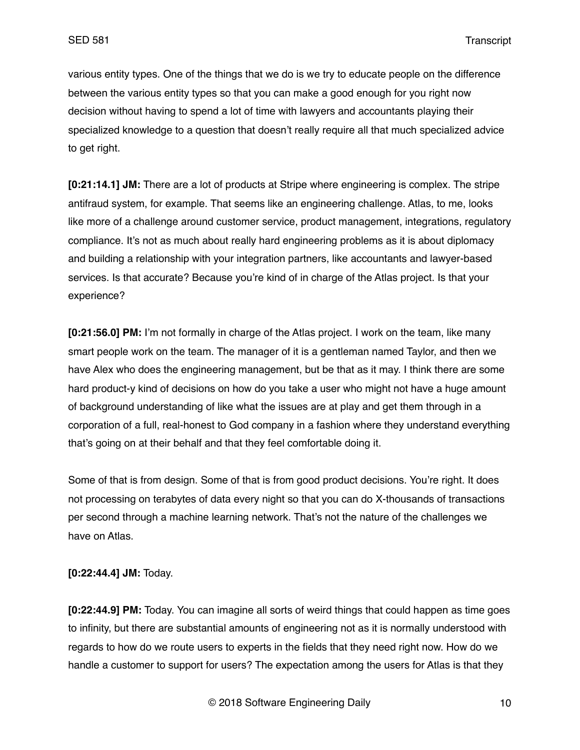various entity types. One of the things that we do is we try to educate people on the difference between the various entity types so that you can make a good enough for you right now decision without having to spend a lot of time with lawyers and accountants playing their specialized knowledge to a question that doesn't really require all that much specialized advice to get right.

**[0:21:14.1] JM:** There are a lot of products at Stripe where engineering is complex. The stripe antifraud system, for example. That seems like an engineering challenge. Atlas, to me, looks like more of a challenge around customer service, product management, integrations, regulatory compliance. It's not as much about really hard engineering problems as it is about diplomacy and building a relationship with your integration partners, like accountants and lawyer-based services. Is that accurate? Because you're kind of in charge of the Atlas project. Is that your experience?

**[0:21:56.0] PM:** I'm not formally in charge of the Atlas project. I work on the team, like many smart people work on the team. The manager of it is a gentleman named Taylor, and then we have Alex who does the engineering management, but be that as it may. I think there are some hard product-y kind of decisions on how do you take a user who might not have a huge amount of background understanding of like what the issues are at play and get them through in a corporation of a full, real-honest to God company in a fashion where they understand everything that's going on at their behalf and that they feel comfortable doing it.

Some of that is from design. Some of that is from good product decisions. You're right. It does not processing on terabytes of data every night so that you can do X-thousands of transactions per second through a machine learning network. That's not the nature of the challenges we have on Atlas.

**[0:22:44.4] JM:** Today.

**[0:22:44.9] PM:** Today. You can imagine all sorts of weird things that could happen as time goes to infinity, but there are substantial amounts of engineering not as it is normally understood with regards to how do we route users to experts in the fields that they need right now. How do we handle a customer to support for users? The expectation among the users for Atlas is that they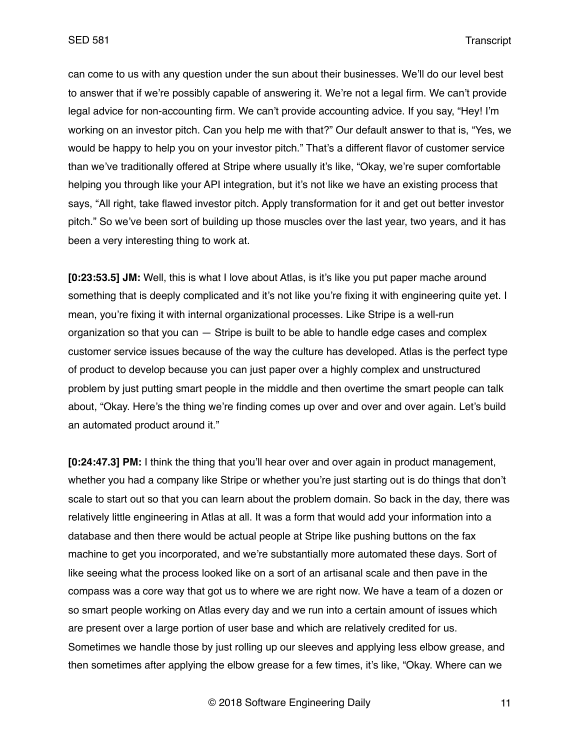can come to us with any question under the sun about their businesses. We'll do our level best to answer that if we're possibly capable of answering it. We're not a legal firm. We can't provide legal advice for non-accounting firm. We can't provide accounting advice. If you say, "Hey! I'm working on an investor pitch. Can you help me with that?" Our default answer to that is, "Yes, we would be happy to help you on your investor pitch." That's a different flavor of customer service than we've traditionally offered at Stripe where usually it's like, "Okay, we're super comfortable helping you through like your API integration, but it's not like we have an existing process that says, "All right, take flawed investor pitch. Apply transformation for it and get out better investor pitch." So we've been sort of building up those muscles over the last year, two years, and it has been a very interesting thing to work at.

**[0:23:53.5] JM:** Well, this is what I love about Atlas, is it's like you put paper mache around something that is deeply complicated and it's not like you're fixing it with engineering quite yet. I mean, you're fixing it with internal organizational processes. Like Stripe is a well-run organization so that you can — Stripe is built to be able to handle edge cases and complex customer service issues because of the way the culture has developed. Atlas is the perfect type of product to develop because you can just paper over a highly complex and unstructured problem by just putting smart people in the middle and then overtime the smart people can talk about, "Okay. Here's the thing we're finding comes up over and over and over again. Let's build an automated product around it."

**[0:24:47.3] PM:** I think the thing that you'll hear over and over again in product management, whether you had a company like Stripe or whether you're just starting out is do things that don't scale to start out so that you can learn about the problem domain. So back in the day, there was relatively little engineering in Atlas at all. It was a form that would add your information into a database and then there would be actual people at Stripe like pushing buttons on the fax machine to get you incorporated, and we're substantially more automated these days. Sort of like seeing what the process looked like on a sort of an artisanal scale and then pave in the compass was a core way that got us to where we are right now. We have a team of a dozen or so smart people working on Atlas every day and we run into a certain amount of issues which are present over a large portion of user base and which are relatively credited for us. Sometimes we handle those by just rolling up our sleeves and applying less elbow grease, and then sometimes after applying the elbow grease for a few times, it's like, "Okay. Where can we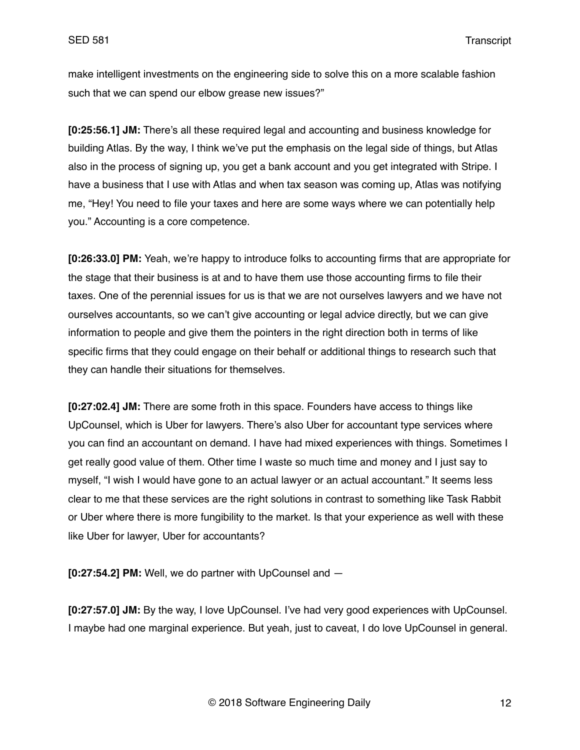make intelligent investments on the engineering side to solve this on a more scalable fashion such that we can spend our elbow grease new issues?"

**[0:25:56.1] JM:** There's all these required legal and accounting and business knowledge for building Atlas. By the way, I think we've put the emphasis on the legal side of things, but Atlas also in the process of signing up, you get a bank account and you get integrated with Stripe. I have a business that I use with Atlas and when tax season was coming up, Atlas was notifying me, "Hey! You need to file your taxes and here are some ways where we can potentially help you." Accounting is a core competence.

**[0:26:33.0] PM:** Yeah, we're happy to introduce folks to accounting firms that are appropriate for the stage that their business is at and to have them use those accounting firms to file their taxes. One of the perennial issues for us is that we are not ourselves lawyers and we have not ourselves accountants, so we can't give accounting or legal advice directly, but we can give information to people and give them the pointers in the right direction both in terms of like specific firms that they could engage on their behalf or additional things to research such that they can handle their situations for themselves.

**[0:27:02.4] JM:** There are some froth in this space. Founders have access to things like UpCounsel, which is Uber for lawyers. There's also Uber for accountant type services where you can find an accountant on demand. I have had mixed experiences with things. Sometimes I get really good value of them. Other time I waste so much time and money and I just say to myself, "I wish I would have gone to an actual lawyer or an actual accountant." It seems less clear to me that these services are the right solutions in contrast to something like Task Rabbit or Uber where there is more fungibility to the market. Is that your experience as well with these like Uber for lawyer, Uber for accountants?

**[0:27:54.2] PM:** Well, we do partner with UpCounsel and —

**[0:27:57.0] JM:** By the way, I love UpCounsel. I've had very good experiences with UpCounsel. I maybe had one marginal experience. But yeah, just to caveat, I do love UpCounsel in general.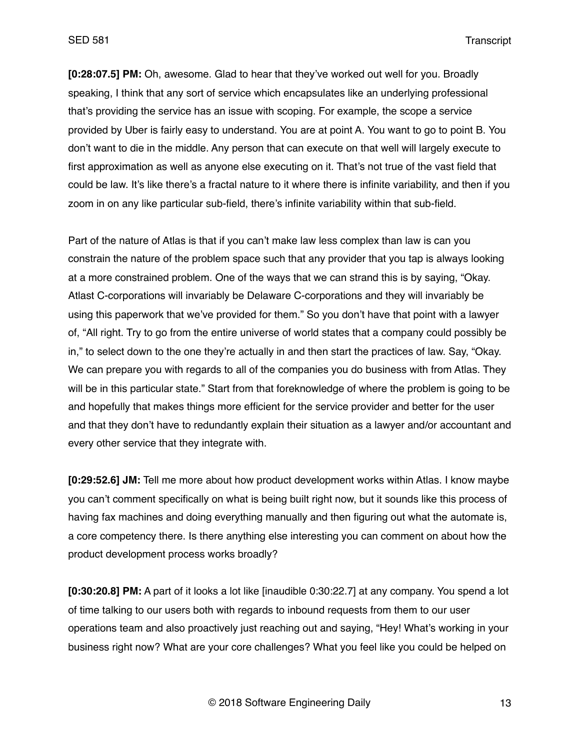**[0:28:07.5] PM:** Oh, awesome. Glad to hear that they've worked out well for you. Broadly speaking, I think that any sort of service which encapsulates like an underlying professional that's providing the service has an issue with scoping. For example, the scope a service provided by Uber is fairly easy to understand. You are at point A. You want to go to point B. You don't want to die in the middle. Any person that can execute on that well will largely execute to first approximation as well as anyone else executing on it. That's not true of the vast field that could be law. It's like there's a fractal nature to it where there is infinite variability, and then if you zoom in on any like particular sub-field, there's infinite variability within that sub-field.

Part of the nature of Atlas is that if you can't make law less complex than law is can you constrain the nature of the problem space such that any provider that you tap is always looking at a more constrained problem. One of the ways that we can strand this is by saying, "Okay. Atlast C-corporations will invariably be Delaware C-corporations and they will invariably be using this paperwork that we've provided for them." So you don't have that point with a lawyer of, "All right. Try to go from the entire universe of world states that a company could possibly be in," to select down to the one they're actually in and then start the practices of law. Say, "Okay. We can prepare you with regards to all of the companies you do business with from Atlas. They will be in this particular state." Start from that foreknowledge of where the problem is going to be and hopefully that makes things more efficient for the service provider and better for the user and that they don't have to redundantly explain their situation as a lawyer and/or accountant and every other service that they integrate with.

**[0:29:52.6] JM:** Tell me more about how product development works within Atlas. I know maybe you can't comment specifically on what is being built right now, but it sounds like this process of having fax machines and doing everything manually and then figuring out what the automate is, a core competency there. Is there anything else interesting you can comment on about how the product development process works broadly?

**[0:30:20.8] PM:** A part of it looks a lot like [inaudible 0:30:22.7] at any company. You spend a lot of time talking to our users both with regards to inbound requests from them to our user operations team and also proactively just reaching out and saying, "Hey! What's working in your business right now? What are your core challenges? What you feel like you could be helped on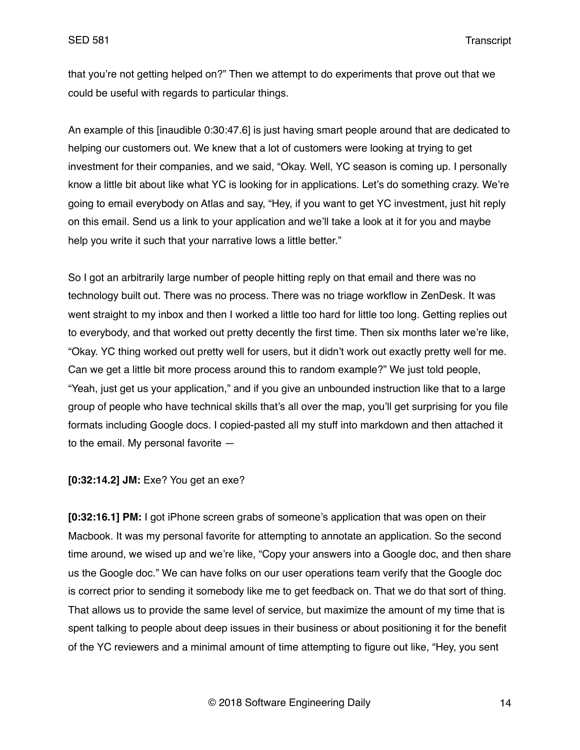that you're not getting helped on?" Then we attempt to do experiments that prove out that we could be useful with regards to particular things.

An example of this [inaudible 0:30:47.6] is just having smart people around that are dedicated to helping our customers out. We knew that a lot of customers were looking at trying to get investment for their companies, and we said, "Okay. Well, YC season is coming up. I personally know a little bit about like what YC is looking for in applications. Let's do something crazy. We're going to email everybody on Atlas and say, "Hey, if you want to get YC investment, just hit reply on this email. Send us a link to your application and we'll take a look at it for you and maybe help you write it such that your narrative lows a little better."

So I got an arbitrarily large number of people hitting reply on that email and there was no technology built out. There was no process. There was no triage workflow in ZenDesk. It was went straight to my inbox and then I worked a little too hard for little too long. Getting replies out to everybody, and that worked out pretty decently the first time. Then six months later we're like, "Okay. YC thing worked out pretty well for users, but it didn't work out exactly pretty well for me. Can we get a little bit more process around this to random example?" We just told people, "Yeah, just get us your application," and if you give an unbounded instruction like that to a large group of people who have technical skills that's all over the map, you'll get surprising for you file formats including Google docs. I copied-pasted all my stuff into markdown and then attached it to the email. My personal favorite —

### **[0:32:14.2] JM:** Exe? You get an exe?

**[0:32:16.1] PM:** I got iPhone screen grabs of someone's application that was open on their Macbook. It was my personal favorite for attempting to annotate an application. So the second time around, we wised up and we're like, "Copy your answers into a Google doc, and then share us the Google doc." We can have folks on our user operations team verify that the Google doc is correct prior to sending it somebody like me to get feedback on. That we do that sort of thing. That allows us to provide the same level of service, but maximize the amount of my time that is spent talking to people about deep issues in their business or about positioning it for the benefit of the YC reviewers and a minimal amount of time attempting to figure out like, "Hey, you sent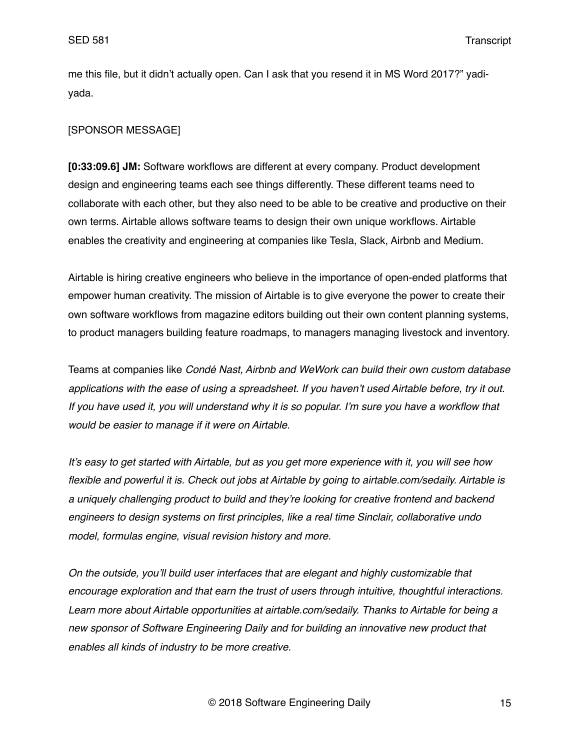me this file, but it didn't actually open. Can I ask that you resend it in MS Word 2017?" yadiyada.

# [SPONSOR MESSAGE]

**[0:33:09.6] JM:** Software workflows are different at every company. Product development design and engineering teams each see things differently. These different teams need to collaborate with each other, but they also need to be able to be creative and productive on their own terms. Airtable allows software teams to design their own unique workflows. Airtable enables the creativity and engineering at companies like Tesla, Slack, Airbnb and Medium.

Airtable is hiring creative engineers who believe in the importance of open-ended platforms that empower human creativity. The mission of Airtable is to give everyone the power to create their own software workflows from magazine editors building out their own content planning systems, to product managers building feature roadmaps, to managers managing livestock and inventory.

Teams at companies like *Condé Nast, Airbnb and WeWork can build their own custom database applications with the ease of using a spreadsheet. If you haven't used Airtable before, try it out. If you have used it, you will understand why it is so popular. I'm sure you have a workflow that would be easier to manage if it were on Airtable.* 

*It's easy to get started with Airtable, but as you get more experience with it, you will see how flexible and powerful it is. Check out jobs at Airtable by going to airtable.com/sedaily. Airtable is a uniquely challenging product to build and they're looking for creative frontend and backend engineers to design systems on first principles, like a real time Sinclair, collaborative undo model, formulas engine, visual revision history and more.* 

*On the outside, you'll build user interfaces that are elegant and highly customizable that encourage exploration and that earn the trust of users through intuitive, thoughtful interactions. Learn more about Airtable opportunities at airtable.com/sedaily. Thanks to Airtable for being a new sponsor of Software Engineering Daily and for building an innovative new product that enables all kinds of industry to be more creative.*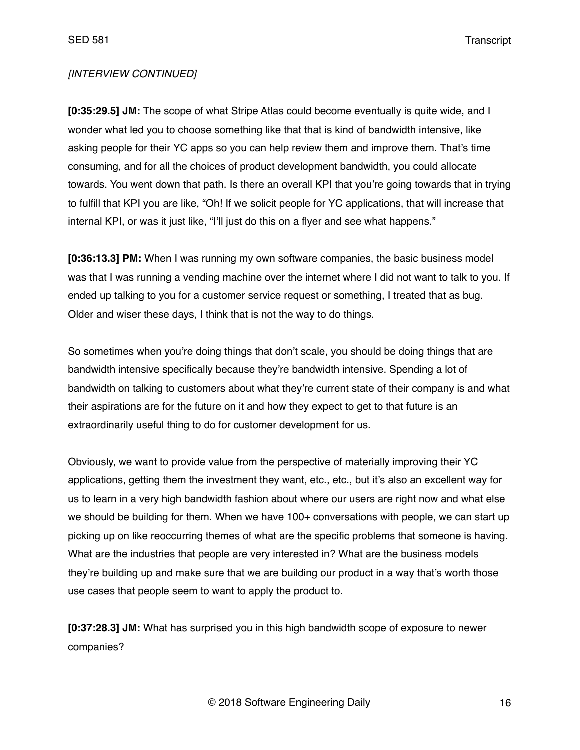## *[INTERVIEW CONTINUED]*

**[0:35:29.5] JM:** The scope of what Stripe Atlas could become eventually is quite wide, and I wonder what led you to choose something like that that is kind of bandwidth intensive, like asking people for their YC apps so you can help review them and improve them. That's time consuming, and for all the choices of product development bandwidth, you could allocate towards. You went down that path. Is there an overall KPI that you're going towards that in trying to fulfill that KPI you are like, "Oh! If we solicit people for YC applications, that will increase that internal KPI, or was it just like, "I'll just do this on a flyer and see what happens."

**[0:36:13.3] PM:** When I was running my own software companies, the basic business model was that I was running a vending machine over the internet where I did not want to talk to you. If ended up talking to you for a customer service request or something, I treated that as bug. Older and wiser these days, I think that is not the way to do things.

So sometimes when you're doing things that don't scale, you should be doing things that are bandwidth intensive specifically because they're bandwidth intensive. Spending a lot of bandwidth on talking to customers about what they're current state of their company is and what their aspirations are for the future on it and how they expect to get to that future is an extraordinarily useful thing to do for customer development for us.

Obviously, we want to provide value from the perspective of materially improving their YC applications, getting them the investment they want, etc., etc., but it's also an excellent way for us to learn in a very high bandwidth fashion about where our users are right now and what else we should be building for them. When we have 100+ conversations with people, we can start up picking up on like reoccurring themes of what are the specific problems that someone is having. What are the industries that people are very interested in? What are the business models they're building up and make sure that we are building our product in a way that's worth those use cases that people seem to want to apply the product to.

**[0:37:28.3] JM:** What has surprised you in this high bandwidth scope of exposure to newer companies?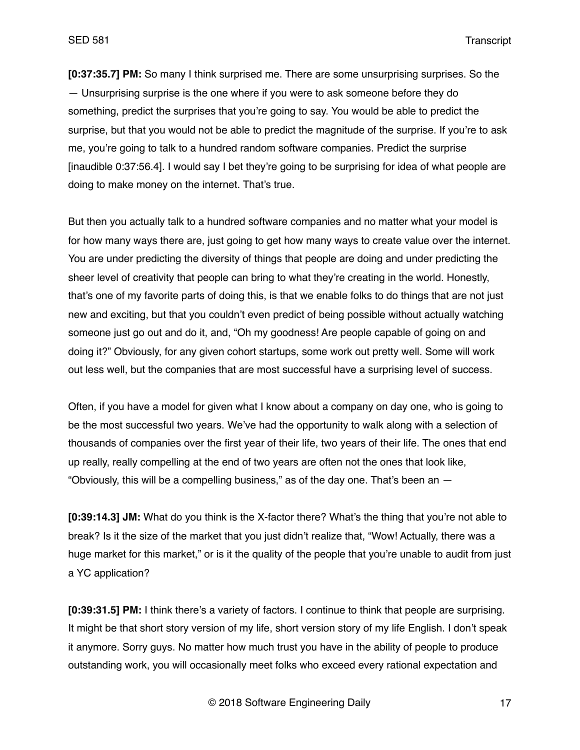**[0:37:35.7] PM:** So many I think surprised me. There are some unsurprising surprises. So the — Unsurprising surprise is the one where if you were to ask someone before they do something, predict the surprises that you're going to say. You would be able to predict the surprise, but that you would not be able to predict the magnitude of the surprise. If you're to ask me, you're going to talk to a hundred random software companies. Predict the surprise [inaudible 0:37:56.4]. I would say I bet they're going to be surprising for idea of what people are doing to make money on the internet. That's true.

But then you actually talk to a hundred software companies and no matter what your model is for how many ways there are, just going to get how many ways to create value over the internet. You are under predicting the diversity of things that people are doing and under predicting the sheer level of creativity that people can bring to what they're creating in the world. Honestly, that's one of my favorite parts of doing this, is that we enable folks to do things that are not just new and exciting, but that you couldn't even predict of being possible without actually watching someone just go out and do it, and, "Oh my goodness! Are people capable of going on and doing it?" Obviously, for any given cohort startups, some work out pretty well. Some will work out less well, but the companies that are most successful have a surprising level of success.

Often, if you have a model for given what I know about a company on day one, who is going to be the most successful two years. We've had the opportunity to walk along with a selection of thousands of companies over the first year of their life, two years of their life. The ones that end up really, really compelling at the end of two years are often not the ones that look like, "Obviously, this will be a compelling business," as of the day one. That's been an  $-$ 

**[0:39:14.3] JM:** What do you think is the X-factor there? What's the thing that you're not able to break? Is it the size of the market that you just didn't realize that, "Wow! Actually, there was a huge market for this market," or is it the quality of the people that you're unable to audit from just a YC application?

**[0:39:31.5] PM:** I think there's a variety of factors. I continue to think that people are surprising. It might be that short story version of my life, short version story of my life English. I don't speak it anymore. Sorry guys. No matter how much trust you have in the ability of people to produce outstanding work, you will occasionally meet folks who exceed every rational expectation and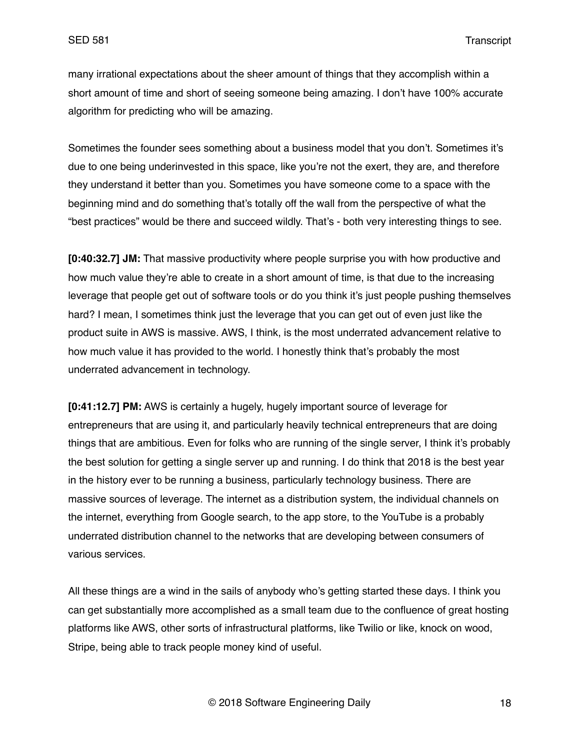many irrational expectations about the sheer amount of things that they accomplish within a short amount of time and short of seeing someone being amazing. I don't have 100% accurate algorithm for predicting who will be amazing.

Sometimes the founder sees something about a business model that you don't. Sometimes it's due to one being underinvested in this space, like you're not the exert, they are, and therefore they understand it better than you. Sometimes you have someone come to a space with the beginning mind and do something that's totally off the wall from the perspective of what the "best practices" would be there and succeed wildly. That's - both very interesting things to see.

**[0:40:32.7] JM:** That massive productivity where people surprise you with how productive and how much value they're able to create in a short amount of time, is that due to the increasing leverage that people get out of software tools or do you think it's just people pushing themselves hard? I mean, I sometimes think just the leverage that you can get out of even just like the product suite in AWS is massive. AWS, I think, is the most underrated advancement relative to how much value it has provided to the world. I honestly think that's probably the most underrated advancement in technology.

**[0:41:12.7] PM:** AWS is certainly a hugely, hugely important source of leverage for entrepreneurs that are using it, and particularly heavily technical entrepreneurs that are doing things that are ambitious. Even for folks who are running of the single server, I think it's probably the best solution for getting a single server up and running. I do think that 2018 is the best year in the history ever to be running a business, particularly technology business. There are massive sources of leverage. The internet as a distribution system, the individual channels on the internet, everything from Google search, to the app store, to the YouTube is a probably underrated distribution channel to the networks that are developing between consumers of various services.

All these things are a wind in the sails of anybody who's getting started these days. I think you can get substantially more accomplished as a small team due to the confluence of great hosting platforms like AWS, other sorts of infrastructural platforms, like Twilio or like, knock on wood, Stripe, being able to track people money kind of useful.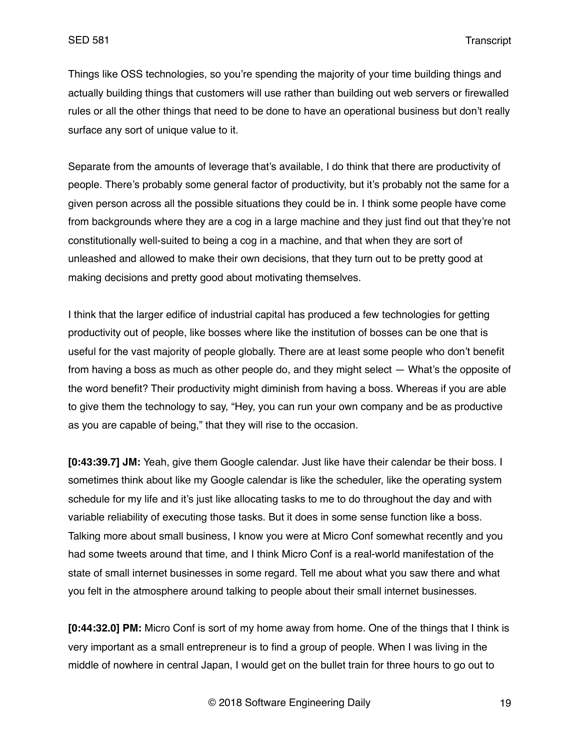Things like OSS technologies, so you're spending the majority of your time building things and actually building things that customers will use rather than building out web servers or firewalled rules or all the other things that need to be done to have an operational business but don't really surface any sort of unique value to it.

Separate from the amounts of leverage that's available, I do think that there are productivity of people. There's probably some general factor of productivity, but it's probably not the same for a given person across all the possible situations they could be in. I think some people have come from backgrounds where they are a cog in a large machine and they just find out that they're not constitutionally well-suited to being a cog in a machine, and that when they are sort of unleashed and allowed to make their own decisions, that they turn out to be pretty good at making decisions and pretty good about motivating themselves.

I think that the larger edifice of industrial capital has produced a few technologies for getting productivity out of people, like bosses where like the institution of bosses can be one that is useful for the vast majority of people globally. There are at least some people who don't benefit from having a boss as much as other people do, and they might select — What's the opposite of the word benefit? Their productivity might diminish from having a boss. Whereas if you are able to give them the technology to say, "Hey, you can run your own company and be as productive as you are capable of being," that they will rise to the occasion.

**[0:43:39.7] JM:** Yeah, give them Google calendar. Just like have their calendar be their boss. I sometimes think about like my Google calendar is like the scheduler, like the operating system schedule for my life and it's just like allocating tasks to me to do throughout the day and with variable reliability of executing those tasks. But it does in some sense function like a boss. Talking more about small business, I know you were at Micro Conf somewhat recently and you had some tweets around that time, and I think Micro Conf is a real-world manifestation of the state of small internet businesses in some regard. Tell me about what you saw there and what you felt in the atmosphere around talking to people about their small internet businesses.

**[0:44:32.0] PM:** Micro Conf is sort of my home away from home. One of the things that I think is very important as a small entrepreneur is to find a group of people. When I was living in the middle of nowhere in central Japan, I would get on the bullet train for three hours to go out to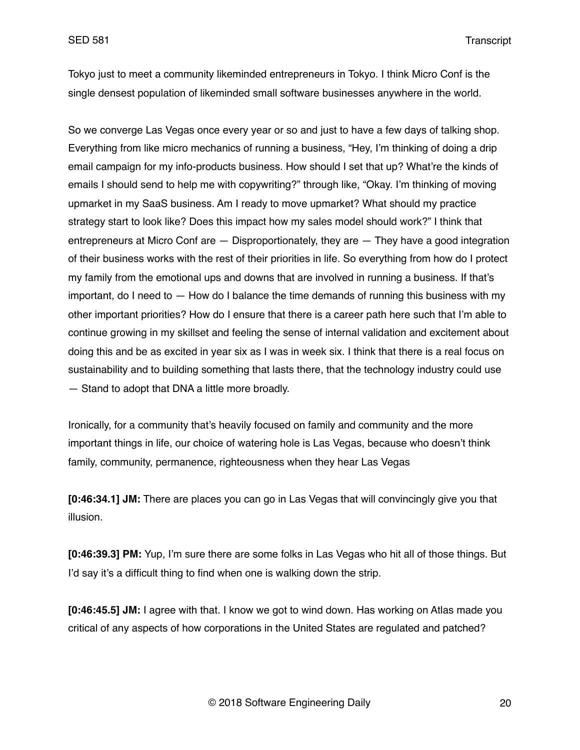Tokyo just to meet a community likeminded entrepreneurs in Tokyo. I think Micro Conf is the single densest population of likeminded small software businesses anywhere in the world.

So we converge Las Vegas once every year or so and just to have a few days of talking shop. Everything from like micro mechanics of running a business, "Hey, I'm thinking of doing a drip email campaign for my info-products business. How should I set that up? What're the kinds of emails I should send to help me with copywriting?" through like, "Okay. I'm thinking of moving upmarket in my SaaS business. Am I ready to move upmarket? What should my practice strategy start to look like? Does this impact how my sales model should work?" I think that entrepreneurs at Micro Conf are — Disproportionately, they are — They have a good integration of their business works with the rest of their priorities in life. So everything from how do I protect my family from the emotional ups and downs that are involved in running a business. If that's important, do I need to  $-$  How do I balance the time demands of running this business with my other important priorities? How do I ensure that there is a career path here such that I'm able to continue growing in my skillset and feeling the sense of internal validation and excitement about doing this and be as excited in year six as I was in week six. I think that there is a real focus on sustainability and to building something that lasts there, that the technology industry could use — Stand to adopt that DNA a little more broadly.

Ironically, for a community that's heavily focused on family and community and the more important things in life, our choice of watering hole is Las Vegas, because who doesn't think family, community, permanence, righteousness when they hear Las Vegas

**[0:46:34.1] JM:** There are places you can go in Las Vegas that will convincingly give you that illusion.

**[0:46:39.3] PM:** Yup, I'm sure there are some folks in Las Vegas who hit all of those things. But I'd say it's a difficult thing to find when one is walking down the strip.

**[0:46:45.5] JM:** I agree with that. I know we got to wind down. Has working on Atlas made you critical of any aspects of how corporations in the United States are regulated and patched?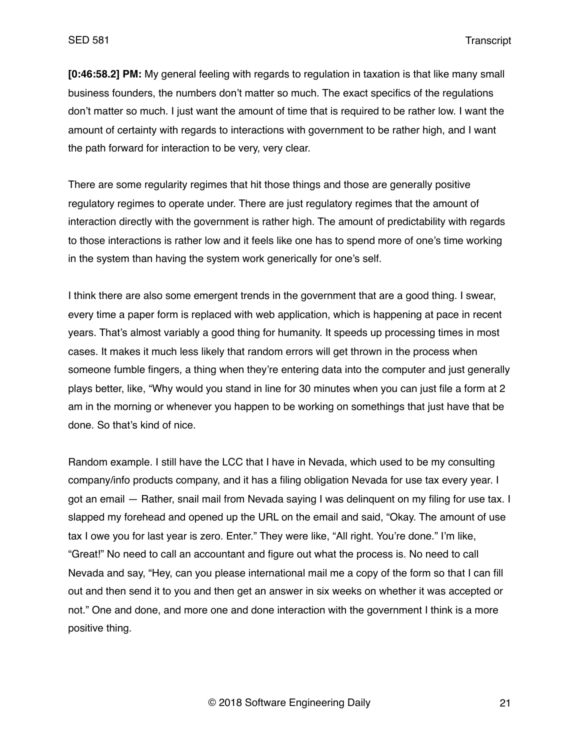**[0:46:58.2] PM:** My general feeling with regards to regulation in taxation is that like many small business founders, the numbers don't matter so much. The exact specifics of the regulations don't matter so much. I just want the amount of time that is required to be rather low. I want the amount of certainty with regards to interactions with government to be rather high, and I want the path forward for interaction to be very, very clear.

There are some regularity regimes that hit those things and those are generally positive regulatory regimes to operate under. There are just regulatory regimes that the amount of interaction directly with the government is rather high. The amount of predictability with regards to those interactions is rather low and it feels like one has to spend more of one's time working in the system than having the system work generically for one's self.

I think there are also some emergent trends in the government that are a good thing. I swear, every time a paper form is replaced with web application, which is happening at pace in recent years. That's almost variably a good thing for humanity. It speeds up processing times in most cases. It makes it much less likely that random errors will get thrown in the process when someone fumble fingers, a thing when they're entering data into the computer and just generally plays better, like, "Why would you stand in line for 30 minutes when you can just file a form at 2 am in the morning or whenever you happen to be working on somethings that just have that be done. So that's kind of nice.

Random example. I still have the LCC that I have in Nevada, which used to be my consulting company/info products company, and it has a filing obligation Nevada for use tax every year. I got an email — Rather, snail mail from Nevada saying I was delinquent on my filing for use tax. I slapped my forehead and opened up the URL on the email and said, "Okay. The amount of use tax I owe you for last year is zero. Enter." They were like, "All right. You're done." I'm like, "Great!" No need to call an accountant and figure out what the process is. No need to call Nevada and say, "Hey, can you please international mail me a copy of the form so that I can fill out and then send it to you and then get an answer in six weeks on whether it was accepted or not." One and done, and more one and done interaction with the government I think is a more positive thing.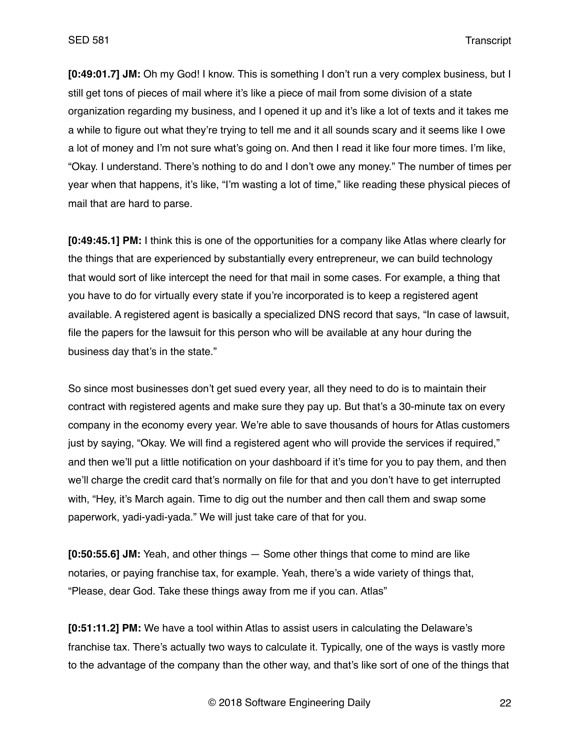**[0:49:01.7] JM:** Oh my God! I know. This is something I don't run a very complex business, but I still get tons of pieces of mail where it's like a piece of mail from some division of a state organization regarding my business, and I opened it up and it's like a lot of texts and it takes me a while to figure out what they're trying to tell me and it all sounds scary and it seems like I owe a lot of money and I'm not sure what's going on. And then I read it like four more times. I'm like, "Okay. I understand. There's nothing to do and I don't owe any money." The number of times per year when that happens, it's like, "I'm wasting a lot of time," like reading these physical pieces of mail that are hard to parse.

**[0:49:45.1] PM:** I think this is one of the opportunities for a company like Atlas where clearly for the things that are experienced by substantially every entrepreneur, we can build technology that would sort of like intercept the need for that mail in some cases. For example, a thing that you have to do for virtually every state if you're incorporated is to keep a registered agent available. A registered agent is basically a specialized DNS record that says, "In case of lawsuit, file the papers for the lawsuit for this person who will be available at any hour during the business day that's in the state."

So since most businesses don't get sued every year, all they need to do is to maintain their contract with registered agents and make sure they pay up. But that's a 30-minute tax on every company in the economy every year. We're able to save thousands of hours for Atlas customers just by saying, "Okay. We will find a registered agent who will provide the services if required," and then we'll put a little notification on your dashboard if it's time for you to pay them, and then we'll charge the credit card that's normally on file for that and you don't have to get interrupted with, "Hey, it's March again. Time to dig out the number and then call them and swap some paperwork, yadi-yadi-yada." We will just take care of that for you.

**[0:50:55.6] JM:** Yeah, and other things — Some other things that come to mind are like notaries, or paying franchise tax, for example. Yeah, there's a wide variety of things that, "Please, dear God. Take these things away from me if you can. Atlas"

**[0:51:11.2] PM:** We have a tool within Atlas to assist users in calculating the Delaware's franchise tax. There's actually two ways to calculate it. Typically, one of the ways is vastly more to the advantage of the company than the other way, and that's like sort of one of the things that

© 2018 Software Engineering Daily 22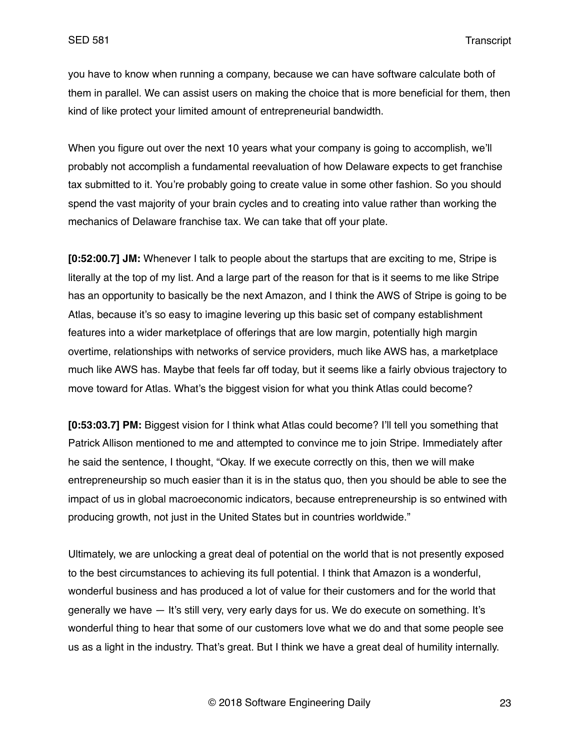you have to know when running a company, because we can have software calculate both of them in parallel. We can assist users on making the choice that is more beneficial for them, then kind of like protect your limited amount of entrepreneurial bandwidth.

When you figure out over the next 10 years what your company is going to accomplish, we'll probably not accomplish a fundamental reevaluation of how Delaware expects to get franchise tax submitted to it. You're probably going to create value in some other fashion. So you should spend the vast majority of your brain cycles and to creating into value rather than working the mechanics of Delaware franchise tax. We can take that off your plate.

**[0:52:00.7] JM:** Whenever I talk to people about the startups that are exciting to me, Stripe is literally at the top of my list. And a large part of the reason for that is it seems to me like Stripe has an opportunity to basically be the next Amazon, and I think the AWS of Stripe is going to be Atlas, because it's so easy to imagine levering up this basic set of company establishment features into a wider marketplace of offerings that are low margin, potentially high margin overtime, relationships with networks of service providers, much like AWS has, a marketplace much like AWS has. Maybe that feels far off today, but it seems like a fairly obvious trajectory to move toward for Atlas. What's the biggest vision for what you think Atlas could become?

**[0:53:03.7] PM:** Biggest vision for I think what Atlas could become? I'll tell you something that Patrick Allison mentioned to me and attempted to convince me to join Stripe. Immediately after he said the sentence, I thought, "Okay. If we execute correctly on this, then we will make entrepreneurship so much easier than it is in the status quo, then you should be able to see the impact of us in global macroeconomic indicators, because entrepreneurship is so entwined with producing growth, not just in the United States but in countries worldwide."

Ultimately, we are unlocking a great deal of potential on the world that is not presently exposed to the best circumstances to achieving its full potential. I think that Amazon is a wonderful, wonderful business and has produced a lot of value for their customers and for the world that generally we have — It's still very, very early days for us. We do execute on something. It's wonderful thing to hear that some of our customers love what we do and that some people see us as a light in the industry. That's great. But I think we have a great deal of humility internally.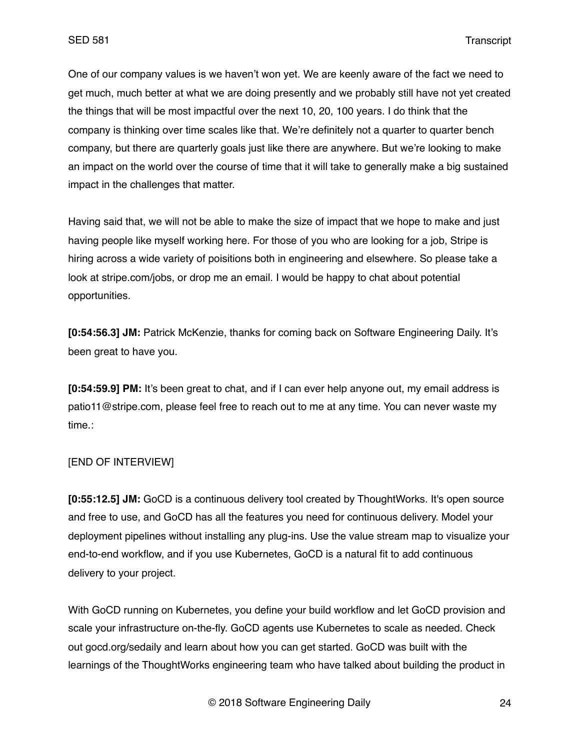One of our company values is we haven't won yet. We are keenly aware of the fact we need to get much, much better at what we are doing presently and we probably still have not yet created the things that will be most impactful over the next 10, 20, 100 years. I do think that the company is thinking over time scales like that. We're definitely not a quarter to quarter bench company, but there are quarterly goals just like there are anywhere. But we're looking to make an impact on the world over the course of time that it will take to generally make a big sustained impact in the challenges that matter.

Having said that, we will not be able to make the size of impact that we hope to make and just having people like myself working here. For those of you who are looking for a job, Stripe is hiring across a wide variety of poisitions both in engineering and elsewhere. So please take a look at stripe.com/jobs, or drop me an email. I would be happy to chat about potential opportunities.

**[0:54:56.3] JM:** Patrick McKenzie, thanks for coming back on Software Engineering Daily. It's been great to have you.

**[0:54:59.9] PM:** It's been great to chat, and if I can ever help anyone out, my email address is patio11@stripe.com, please feel free to reach out to me at any time. You can never waste my time.:

## [END OF INTERVIEW]

**[0:55:12.5] JM:** GoCD is a continuous delivery tool created by ThoughtWorks. It's open source and free to use, and GoCD has all the features you need for continuous delivery. Model your deployment pipelines without installing any plug-ins. Use the value stream map to visualize your end-to-end workflow, and if you use Kubernetes, GoCD is a natural fit to add continuous delivery to your project.

With GoCD running on Kubernetes, you define your build workflow and let GoCD provision and scale your infrastructure on-the-fly. GoCD agents use Kubernetes to scale as needed. Check out gocd.org/sedaily and learn about how you can get started. GoCD was built with the learnings of the ThoughtWorks engineering team who have talked about building the product in